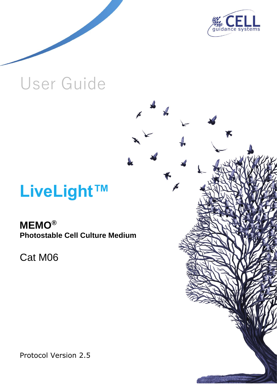

# User Guide

# **LiveLight™**

# **MEMO® Photostable Cell Culture Medium**

Cat M06

Protocol Version 2.5

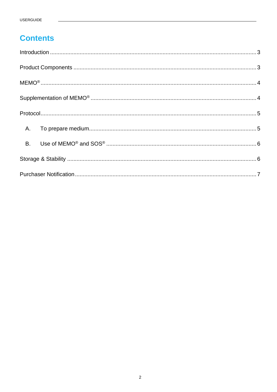# **Contents**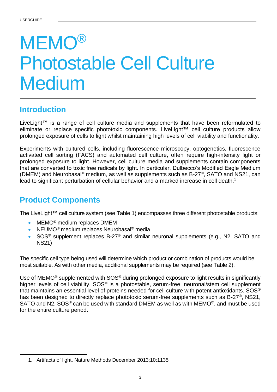# **MEMO®** Photostable Cell Culture Medium

# <span id="page-2-0"></span>**Introduction**

LiveLight™ is a range of cell culture media and supplements that have been reformulated to eliminate or replace specific phototoxic components. LiveLight™ cell culture products allow prolonged exposure of cells to light whilst maintaining high levels of cell viability and functionality.

Experiments with cultured cells, including fluorescence microscopy, optogenetics, fluorescence activated cell sorting (FACS) and automated cell culture, often require high-intensity light or prolonged exposure to light. However, cell culture media and supplements contain components that are converted to toxic free radicals by light. In particular, Dulbecco's Modified Eagle Medium (DMEM) and Neurobasal® medium, as well as supplements such as B-27®, SATO and NS21, can lead to significant perturbation of cellular behavior and a marked increase in cell death.<sup>1</sup>

# <span id="page-2-1"></span>**Product Components**

The LiveLight™ cell culture system (see Table 1) encompasses three different photostable products:

- MEMO<sup>®</sup> medium replaces DMEM
- NEUMO<sup>®</sup> medium replaces Neurobasal<sup>®</sup> media
- SOS<sup>®</sup> supplement replaces B-27<sup>®</sup> and similar neuronal supplements (e.g., N2, SATO and NS21)

The specific cell type being used will determine which product or combination of products would be most suitable. As with other media, additional supplements may be required (see Table 2).

Use of MEMO<sup>®</sup> supplemented with SOS<sup>®</sup> during prolonged exposure to light results in significantly higher levels of cell viability. SOS<sup>®</sup> is a photostable, serum-free, neuronal/stem cell supplement that maintains an essential level of proteins needed for cell culture with potent antioxidants. SOS® has been designed to directly replace phototoxic serum-free supplements such as B-27<sup>®</sup>, NS21, SATO and N2. SOS<sup>®</sup> can be used with standard DMEM as well as with MEMO<sup>®</sup>, and must be used for the entire culture period.

<sup>1.</sup> Artifacts of light. Nature Methods December 2013;10:1135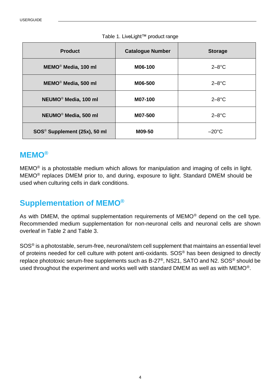| <b>Product</b>                           | <b>Catalogue Number</b> | <b>Storage</b>  |
|------------------------------------------|-------------------------|-----------------|
| MEMO <sup>®</sup> Media, 100 ml          | M06-100                 | $2-8$ °C        |
| MEMO <sup>®</sup> Media, 500 ml          | M06-500                 | $2-8$ °C        |
| NEUMO <sup>®</sup> Media, 100 ml         | M07-100                 | $2-8$ °C        |
| NEUMO <sup>®</sup> Media, 500 ml         | M07-500                 | $2-8$ °C        |
| SOS <sup>®</sup> Supplement (25x), 50 ml | M09-50                  | $-20^{\circ}$ C |

## Table 1. LiveLight™ product range

## <span id="page-3-0"></span>**MEMO®**

MEMO® is a photostable medium which allows for manipulation and imaging of cells in light. MEMO® replaces DMEM prior to, and during, exposure to light. Standard DMEM should be used when culturing cells in dark conditions.

# <span id="page-3-1"></span>**Supplementation of MEMO®**

As with DMEM, the optimal supplementation requirements of MEMO® depend on the cell type. Recommended medium supplementation for non-neuronal cells and neuronal cells are shown overleaf in Table 2 and Table 3.

SOS® is a photostable, serum-free, neuronal/stem cell supplement that maintains an essential level of proteins needed for cell culture with potent anti-oxidants. SOS® has been designed to directly replace phototoxic serum-free supplements such as B-27®, NS21, SATO and N2. SOS® should be used throughout the experiment and works well with standard DMEM as well as with MEMO<sup>®</sup>.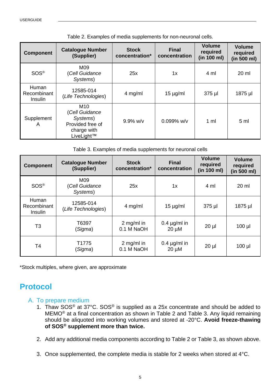| <b>Component</b>                | <b>Catalogue Number</b><br>(Supplier)                                              | <b>Stock</b><br>concentration* | <b>Final</b><br>concentration | <b>Volume</b><br>required<br>(in 100 ml) | <b>Volume</b><br>required<br>(in 500 ml) |
|---------------------------------|------------------------------------------------------------------------------------|--------------------------------|-------------------------------|------------------------------------------|------------------------------------------|
| SOS <sup>®</sup>                | M09<br>(Cell Guidance<br>Systems)                                                  | 25x                            | 1x                            | 4 ml                                     | $20 \mathrm{ml}$                         |
| Human<br>Recombinant<br>Insulin | 12585-014<br>(Life Technologies)                                                   | $4$ mg/ml                      | $15 \mu g/ml$                 | $375$ µl                                 | 1875 µl                                  |
| Supplement<br>A                 | M10<br>(Cell Guidance<br>Systems)<br>Provided free of<br>charge with<br>LiveLight™ | $9.9\%$ w/v                    | $0.099\%$ w/v                 | 1 <sub>m</sub>                           | 5 <sub>m</sub>                           |

Table 2. Examples of media supplements for non-neuronal cells.

Table 3. Examples of media supplements for neuronal cells

| <b>Component</b>                | <b>Catalogue Number</b><br>(Supplier) | <b>Stock</b><br>concentration* | <b>Final</b><br>concentration   | <b>Volume</b><br>required<br>(in 100 ml) | <b>Volume</b><br>required<br>(in 500 ml) |
|---------------------------------|---------------------------------------|--------------------------------|---------------------------------|------------------------------------------|------------------------------------------|
| SOS <sup>®</sup>                | M09<br>(Cell Guidance<br>Systems)     | 25x                            | 1x                              | $4 \text{ ml}$                           | 20 ml                                    |
| Human<br>Recombinant<br>Insulin | 12585-014<br>(Life Technologies)      | 4 mg/ml                        | $15 \mu g/ml$                   | 375 µl                                   | 1875 µl                                  |
| T <sub>3</sub>                  | T6397<br>(Sigma)                      | 2 mg/ml in<br>0.1 M NaOH       | 0.4 $\mu$ g/ml in<br>$20 \mu M$ | $20 \mu$                                 | $100$ $\mu$                              |
| T4                              | T1775<br>(Sigma)                      | 2 mg/ml in<br>0.1 M NaOH       | 0.4 $\mu$ g/ml in<br>$20 \mu M$ | $20 \mu$                                 | $100$ $\mu$                              |

<span id="page-4-0"></span>\*Stock multiples, where given, are approximate

# **Protocol**

## <span id="page-4-1"></span>A. To prepare medium

- 1. Thaw SOS® at 37°C. SOS® is supplied as a 25x concentrate and should be added to MEMO® at a final concentration as shown in Table 2 and Table 3. Any liquid remaining should be aliquoted into working volumes and stored at -20°C. **Avoid freeze-thawing of SOS® supplement more than twice.**
- 2. Add any additional media components according to Table 2 or Table 3, as shown above.
- 3. Once supplemented, the complete media is stable for 2 weeks when stored at 4°C.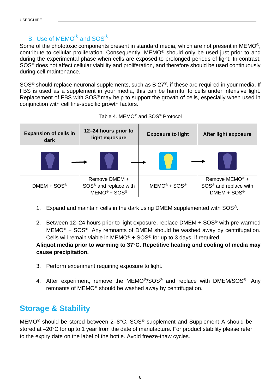## B. Use of MEMO<sup>®</sup> and SOS<sup>®</sup>

<span id="page-5-0"></span>Some of the phototoxic components present in standard media, which are not present in MEMO®, contribute to cellular proliferation. Consequently, MEMO® should only be used just prior to and during the experimental phase when cells are exposed to prolonged periods of light. In contrast, SOS® does not affect cellular viability and proliferation, and therefore should be used continuously during cell maintenance.

SOS® should replace neuronal supplements, such as B-27®, if these are required in your media. If FBS is used as a supplement in your media, this can be harmful to cells under intensive light. Replacement of FBS with SOS<sup>®</sup> may help to support the growth of cells, especially when used in conjunction with cell line-specific growth factors.

| <b>Expansion of cells in</b><br>dark | 12-24 hours prior to<br>light exposure                               | <b>Exposure to light</b> | <b>After light exposure</b>                                                                  |
|--------------------------------------|----------------------------------------------------------------------|--------------------------|----------------------------------------------------------------------------------------------|
|                                      |                                                                      |                          |                                                                                              |
| $DMEM + SOS®$                        | Remove DMEM +<br>SOS <sup>®</sup> and replace with<br>$MEMO® + SOS®$ | $MEMO® + SOS®$           | Remove MEMO <sup>®</sup> +<br>SOS <sup>®</sup> and replace with<br>$DMEM + SOS$ <sup>®</sup> |

| Table 4. MEMO <sup>®</sup> and SOS <sup>®</sup> Protocol |  |
|----------------------------------------------------------|--|
|----------------------------------------------------------|--|

- 1. Expand and maintain cells in the dark using DMEM supplemented with SOS<sup>®</sup>.
- 2. Between 12–24 hours prior to light exposure, replace DMEM  $+$  SOS<sup>®</sup> with pre-warmed  $MEMO<sup>®</sup> + SOS<sup>®</sup>$ . Any remnants of DMEM should be washed away by centrifugation. Cells will remain viable in MEMO<sup>®</sup> + SOS<sup>®</sup> for up to 3 days, if required.

## **Aliquot media prior to warming to 37°C. Repetitive heating and cooling of media may cause precipitation.**

- 3. Perform experiment requiring exposure to light.
- 4. After experiment, remove the MEMO<sup>®</sup>/SOS<sup>®</sup> and replace with DMEM/SOS<sup>®</sup>. Any remnants of MEMO® should be washed away by centrifugation.

# <span id="page-5-1"></span>**Storage & Stability**

MEMO® should be stored between 2–8°C. SOS® supplement and Supplement A should be stored at –20°C for up to 1 year from the date of manufacture. For product stability please refer to the expiry date on the label of the bottle. Avoid freeze-thaw cycles.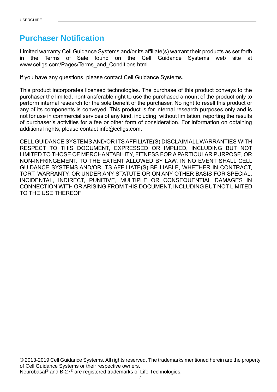# <span id="page-6-0"></span>**Purchaser Notification**

Limited warranty Cell Guidance Systems and/or its affiliate(s) warrant their products as set forth in the Terms of Sale found on the Cell Guidance Systems web site at www.cellgs.com/Pages/Terms\_and\_Conditions.html

If you have any questions, please contact Cell Guidance Systems.

This product incorporates licensed technologies. The purchase of this product conveys to the purchaser the limited, nontransferable right to use the purchased amount of the product only to perform internal research for the sole benefit of the purchaser. No right to resell this product or any of its components is conveyed. This product is for internal research purposes only and is not for use in commercial services of any kind, including, without limitation, reporting the results of purchaser's activities for a fee or other form of consideration. For information on obtaining additional rights, please contact info@cellgs.com.

CELL GUIDANCE SYSTEMS AND/OR ITS AFFILIATE(S) DISCLAIM ALL WARRANTIES WITH RESPECT TO THIS DOCUMENT, EXPRESSED OR IMPLIED, INCLUDING BUT NOT LIMITED TO THOSE OF MERCHANTABILITY, FITNESS FOR A PARTICULAR PURPOSE, OR NON-INFRINGEMENT. TO THE EXTENT ALLOWED BY LAW, IN NO EVENT SHALL CELL GUIDANCE SYSTEMS AND/OR ITS AFFILIATE(S) BE LIABLE, WHETHER IN CONTRACT, TORT, WARRANTY, OR UNDER ANY STATUTE OR ON ANY OTHER BASIS FOR SPECIAL, INCIDENTAL, INDIRECT, PUNITIVE, MULTIPLE OR CONSEQUENTIAL DAMAGES IN CONNECTION WITH OR ARISING FROM THIS DOCUMENT, INCLUDING BUT NOT LIMITED TO THE USE THEREOF